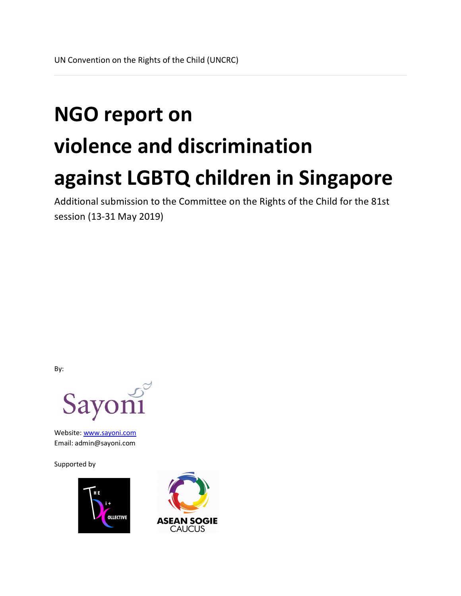# **NGO report on violence and discrimination against LGBTQ children in Singapore**

Additional submission to the Committee on the Rights of the Child for the 81st session (13-31 May 2019)

By:



Website: www.sayoni.com Email: admin@sayoni.com

Supported by



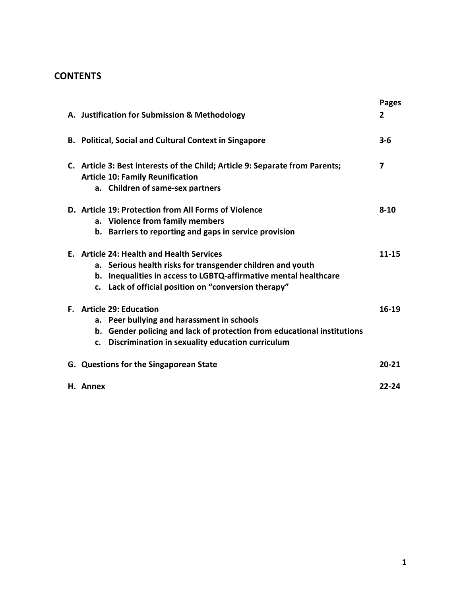# **CONTENTS**

|                                                                                                                                                                                                                                     | <b>Pages</b> |
|-------------------------------------------------------------------------------------------------------------------------------------------------------------------------------------------------------------------------------------|--------------|
| A. Justification for Submission & Methodology                                                                                                                                                                                       | 2            |
| <b>B. Political, Social and Cultural Context in Singapore</b>                                                                                                                                                                       | $3 - 6$      |
| C. Article 3: Best interests of the Child; Article 9: Separate from Parents;<br><b>Article 10: Family Reunification</b><br>a. Children of same-sex partners                                                                         | 7            |
| D. Article 19: Protection from All Forms of Violence<br>a. Violence from family members<br>b. Barriers to reporting and gaps in service provision                                                                                   | $8 - 10$     |
| E. Article 24: Health and Health Services<br>a. Serious health risks for transgender children and youth<br>b. Inequalities in access to LGBTQ-affirmative mental healthcare<br>c. Lack of official position on "conversion therapy" | $11 - 15$    |
| F. Article 29: Education<br>a. Peer bullying and harassment in schools<br>b. Gender policing and lack of protection from educational institutions<br>c. Discrimination in sexuality education curriculum                            | 16-19        |
| G. Questions for the Singaporean State                                                                                                                                                                                              | $20 - 21$    |
| H. Annex                                                                                                                                                                                                                            | $22 - 24$    |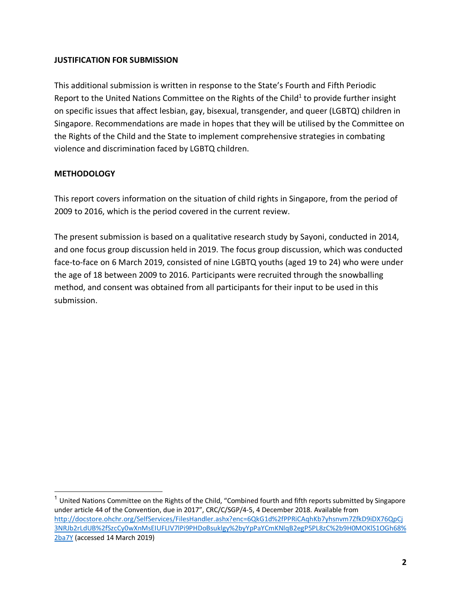#### **JUSTIFICATION FOR SUBMISSION**

This additional submission is written in response to the State's Fourth and Fifth Periodic Report to the United Nations Committee on the Rights of the Child<sup>1</sup> to provide further insight on specific issues that affect lesbian, gay, bisexual, transgender, and queer (LGBTQ) children in Singapore. Recommendations are made in hopes that they will be utilised by the Committee on the Rights of the Child and the State to implement comprehensive strategies in combating violence and discrimination faced by LGBTQ children.

# **METHODOLOGY**

This report covers information on the situation of child rights in Singapore, from the period of 2009 to 2016, which is the period covered in the current review.

The present submission is based on a qualitative research study by Sayoni, conducted in 2014, and one focus group discussion held in 2019. The focus group discussion, which was conducted face-to-face on 6 March 2019, consisted of nine LGBTQ youths (aged 19 to 24) who were under the age of 18 between 2009 to 2016. Participants were recruited through the snowballing method, and consent was obtained from all participants for their input to be used in this submission.

 $1$  United Nations Committee on the Rights of the Child, "Combined fourth and fifth reports submitted by Singapore under article 44 of the Convention, due in 2017", CRC/C/SGP/4-5, 4 December 2018. Available from http://docstore.ohchr.org/SelfServices/FilesHandler.ashx?enc=6QkG1d%2fPPRiCAqhKb7yhsnvm7ZfkD9iDX76QpCj 3NRJb2rLdUB%2fSzcCy0wXnMsEIUFLIV7lPi9PHDoBsuklgy%2byYpPaYCmKNlqB2egP5PL8zC%2b9H0MOKlS1OGh68% 2ba7Y (accessed 14 March 2019)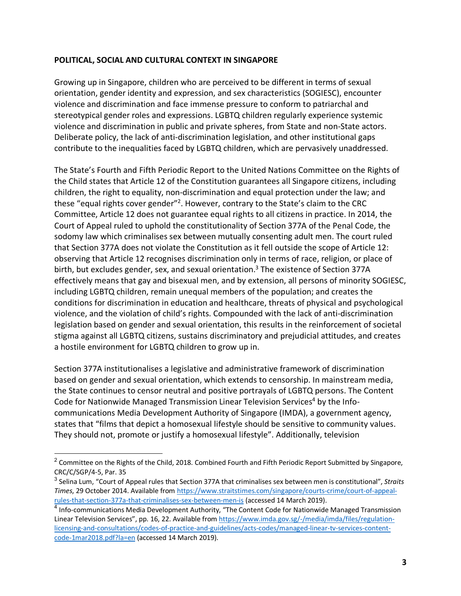#### **POLITICAL, SOCIAL AND CULTURAL CONTEXT IN SINGAPORE**

Growing up in Singapore, children who are perceived to be different in terms of sexual orientation, gender identity and expression, and sex characteristics (SOGIESC), encounter violence and discrimination and face immense pressure to conform to patriarchal and stereotypical gender roles and expressions. LGBTQ children regularly experience systemic violence and discrimination in public and private spheres, from State and non-State actors. Deliberate policy, the lack of anti-discrimination legislation, and other institutional gaps contribute to the inequalities faced by LGBTQ children, which are pervasively unaddressed.

The State's Fourth and Fifth Periodic Report to the United Nations Committee on the Rights of the Child states that Article 12 of the Constitution guarantees all Singapore citizens, including children, the right to equality, non-discrimination and equal protection under the law; and these "equal rights cover gender"2. However, contrary to the State's claim to the CRC Committee, Article 12 does not guarantee equal rights to all citizens in practice. In 2014, the Court of Appeal ruled to uphold the constitutionality of Section 377A of the Penal Code, the sodomy law which criminalises sex between mutually consenting adult men. The court ruled that Section 377A does not violate the Constitution as it fell outside the scope of Article 12: observing that Article 12 recognises discrimination only in terms of race, religion, or place of birth, but excludes gender, sex, and sexual orientation.<sup>3</sup> The existence of Section 377A effectively means that gay and bisexual men, and by extension, all persons of minority SOGIESC, including LGBTQ children, remain unequal members of the population; and creates the conditions for discrimination in education and healthcare, threats of physical and psychological violence, and the violation of child's rights. Compounded with the lack of anti-discrimination legislation based on gender and sexual orientation, this results in the reinforcement of societal stigma against all LGBTQ citizens, sustains discriminatory and prejudicial attitudes, and creates a hostile environment for LGBTQ children to grow up in.

Section 377A institutionalises a legislative and administrative framework of discrimination based on gender and sexual orientation, which extends to censorship. In mainstream media, the State continues to censor neutral and positive portrayals of LGBTQ persons. The Content Code for Nationwide Managed Transmission Linear Television Services<sup>4</sup> by the Infocommunications Media Development Authority of Singapore (IMDA), a government agency, states that "films that depict a homosexual lifestyle should be sensitive to community values. They should not, promote or justify a homosexual lifestyle". Additionally, television

<sup>&</sup>lt;sup>2</sup> Committee on the Rights of the Child, 2018. Combined Fourth and Fifth Periodic Report Submitted by Singapore, CRC/C/SGP/4-5, Par. 35

<sup>3</sup> Selina Lum, "Court of Appeal rules that Section 377A that criminalises sex between men is constitutional", *Straits Times*, 29 October 2014. Available from https://www.straitstimes.com/singapore/courts-crime/court-of-appealrules-that-section-377a-that-criminalises-sex-between-men-is (accessed 14 March 2019).

<sup>4</sup> Info-communications Media Development Authority, "The Content Code for Nationwide Managed Transmission Linear Television Services", pp. 16, 22. Available from https://www.imda.gov.sg/-/media/imda/files/regulationlicensing-and-consultations/codes-of-practice-and-guidelines/acts-codes/managed-linear-tv-services-contentcode-1mar2018.pdf?la=en (accessed 14 March 2019).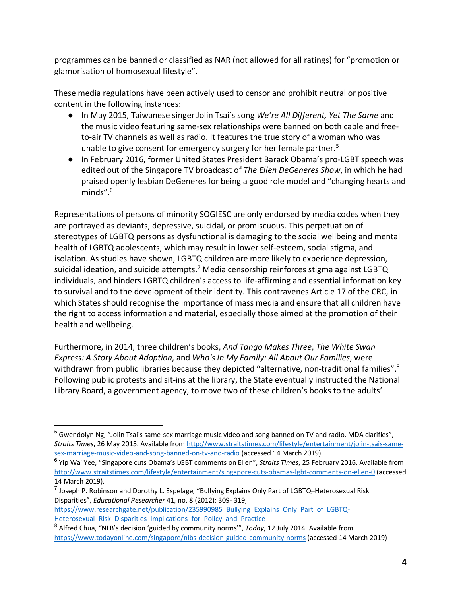programmes can be banned or classified as NAR (not allowed for all ratings) for "promotion or glamorisation of homosexual lifestyle".

These media regulations have been actively used to censor and prohibit neutral or positive content in the following instances:

- In May 2015, Taiwanese singer Jolin Tsai's song *We're All Different, Yet The Same* and the music video featuring same-sex relationships were banned on both cable and freeto-air TV channels as well as radio. It features the true story of a woman who was unable to give consent for emergency surgery for her female partner.<sup>5</sup>
- In February 2016, former United States President Barack Obama's pro-LGBT speech was edited out of the Singapore TV broadcast of *The Ellen DeGeneres Show*, in which he had praised openly lesbian DeGeneres for being a good role model and "changing hearts and minds". $6$

Representations of persons of minority SOGIESC are only endorsed by media codes when they are portrayed as deviants, depressive, suicidal, or promiscuous. This perpetuation of stereotypes of LGBTQ persons as dysfunctional is damaging to the social wellbeing and mental health of LGBTQ adolescents, which may result in lower self-esteem, social stigma, and isolation. As studies have shown, LGBTQ children are more likely to experience depression, suicidal ideation, and suicide attempts.<sup>7</sup> Media censorship reinforces stigma against LGBTQ individuals, and hinders LGBTQ children's access to life-affirming and essential information key to survival and to the development of their identity. This contravenes Article 17 of the CRC, in which States should recognise the importance of mass media and ensure that all children have the right to access information and material, especially those aimed at the promotion of their health and wellbeing.

Furthermore, in 2014, three children's books, *And Tango Makes Three*, *The White Swan Express: A Story About Adoption*, and *Who's In My Family: All About Our Families*, were withdrawn from public libraries because they depicted "alternative, non-traditional families".<sup>8</sup> Following public protests and sit-ins at the library, the State eventually instructed the National Library Board, a government agency, to move two of these children's books to the adults'

<sup>&</sup>lt;sup>5</sup> Gwendolyn Ng, "Jolin Tsai's same-sex marriage music video and song banned on TV and radio, MDA clarifies", *Straits Times*, 26 May 2015. Available from http://www.straitstimes.com/lifestyle/entertainment/jolin-tsais-samesex-marriage-music-video-and-song-banned-on-tv-and-radio (accessed 14 March 2019).

<sup>6</sup> Yip Wai Yee, "Singapore cuts Obama's LGBT comments on Ellen", *Straits Times*, 25 February 2016. Available from http://www.straitstimes.com/lifestyle/entertainment/singapore-cuts-obamas-lgbt-comments-on-ellen-0 (accessed 14 March 2019).

 $<sup>7</sup>$  Joseph P. Robinson and Dorothy L. Espelage, "Bullying Explains Only Part of LGBTQ–Heterosexual Risk</sup> Disparities", *Educational Researcher* 41, no. 8 (2012): 309- 319,

https://www.researchgate.net/publication/235990985\_Bullying\_Explains\_Only\_Part\_of\_LGBTQ-Heterosexual Risk Disparities Implications for Policy and Practice

<sup>8</sup> Alfred Chua, "NLB's decision 'guided by community norms'", *Today*, 12 July 2014. Available from https://www.todayonline.com/singapore/nlbs-decision-guided-community-norms (accessed 14 March 2019)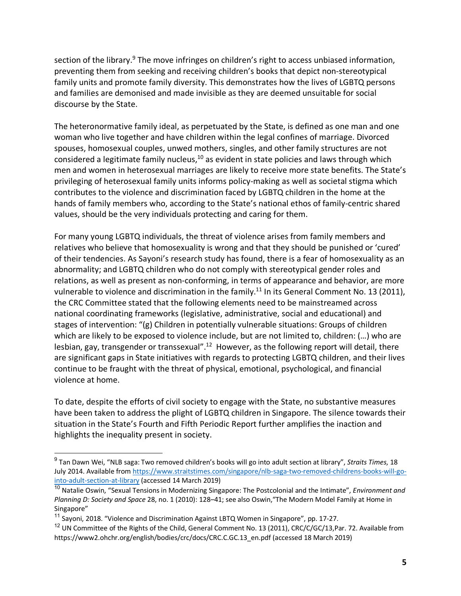section of the library.<sup>9</sup> The move infringes on children's right to access unbiased information, preventing them from seeking and receiving children's books that depict non-stereotypical family units and promote family diversity. This demonstrates how the lives of LGBTQ persons and families are demonised and made invisible as they are deemed unsuitable for social discourse by the State.

The heteronormative family ideal, as perpetuated by the State, is defined as one man and one woman who live together and have children within the legal confines of marriage. Divorced spouses, homosexual couples, unwed mothers, singles, and other family structures are not considered a legitimate family nucleus, $10$  as evident in state policies and laws through which men and women in heterosexual marriages are likely to receive more state benefits. The State's privileging of heterosexual family units informs policy-making as well as societal stigma which contributes to the violence and discrimination faced by LGBTQ children in the home at the hands of family members who, according to the State's national ethos of family-centric shared values, should be the very individuals protecting and caring for them.

For many young LGBTQ individuals, the threat of violence arises from family members and relatives who believe that homosexuality is wrong and that they should be punished or 'cured' of their tendencies. As Sayoni's research study has found, there is a fear of homosexuality as an abnormality; and LGBTQ children who do not comply with stereotypical gender roles and relations, as well as present as non-conforming, in terms of appearance and behavior, are more vulnerable to violence and discrimination in the family.<sup>11</sup> In its General Comment No. 13 (2011), the CRC Committee stated that the following elements need to be mainstreamed across national coordinating frameworks (legislative, administrative, social and educational) and stages of intervention: "(g) Children in potentially vulnerable situations: Groups of children which are likely to be exposed to violence include, but are not limited to, children: (…) who are lesbian, gay, transgender or transsexual".<sup>12</sup> However, as the following report will detail, there are significant gaps in State initiatives with regards to protecting LGBTQ children, and their lives continue to be fraught with the threat of physical, emotional, psychological, and financial violence at home.

To date, despite the efforts of civil society to engage with the State, no substantive measures have been taken to address the plight of LGBTQ children in Singapore. The silence towards their situation in the State's Fourth and Fifth Periodic Report further amplifies the inaction and highlights the inequality present in society.

 <sup>9</sup> Tan Dawn Wei, "NLB saga: Two removed children's books will go into adult section at library", *Straits Times*, 18 July 2014. Available from https://www.straitstimes.com/singapore/nlb-saga-two-removed-childrens-books-will-gointo-adult-section-at-library (accessed 14 March 2019)

<sup>10</sup> Natalie Oswin, "Sexual Tensions in Modernizing Singapore: The Postcolonial and the Intimate", *Environment and Planning D: Society and Space* 28, no. 1 (2010): 128–41; see also Oswin,"The Modern Model Family at Home in Singapore"

<sup>&</sup>lt;sup>11</sup> Sayoni, 2018. "Violence and Discrimination Against LBTQ Women in Singapore", pp. 17-27.

<sup>&</sup>lt;sup>12</sup> UN Committee of the Rights of the Child, General Comment No. 13 (2011), CRC/C/GC/13, Par. 72. Available from https://www2.ohchr.org/english/bodies/crc/docs/CRC.C.GC.13\_en.pdf (accessed 18 March 2019)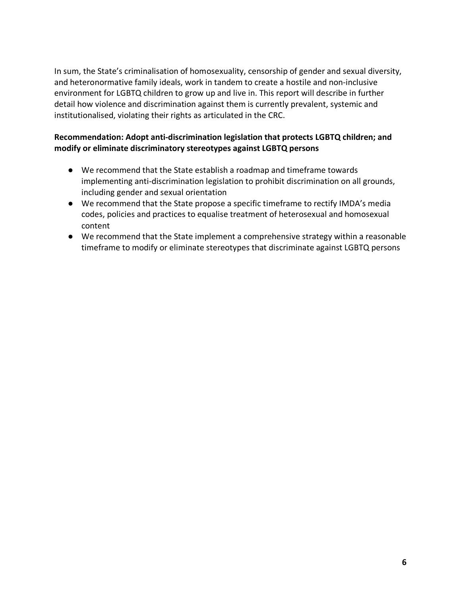In sum, the State's criminalisation of homosexuality, censorship of gender and sexual diversity, and heteronormative family ideals, work in tandem to create a hostile and non-inclusive environment for LGBTQ children to grow up and live in. This report will describe in further detail how violence and discrimination against them is currently prevalent, systemic and institutionalised, violating their rights as articulated in the CRC.

# **Recommendation: Adopt anti-discrimination legislation that protects LGBTQ children; and modify or eliminate discriminatory stereotypes against LGBTQ persons**

- We recommend that the State establish a roadmap and timeframe towards implementing anti-discrimination legislation to prohibit discrimination on all grounds, including gender and sexual orientation
- We recommend that the State propose a specific timeframe to rectify IMDA's media codes, policies and practices to equalise treatment of heterosexual and homosexual content
- We recommend that the State implement a comprehensive strategy within a reasonable timeframe to modify or eliminate stereotypes that discriminate against LGBTQ persons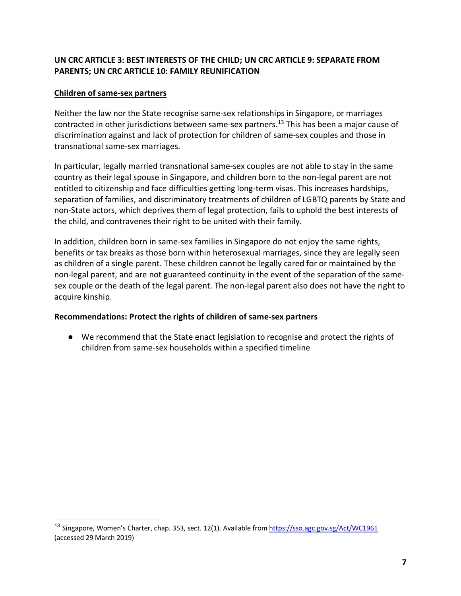# **UN CRC ARTICLE 3: BEST INTERESTS OF THE CHILD; UN CRC ARTICLE 9: SEPARATE FROM PARENTS; UN CRC ARTICLE 10: FAMILY REUNIFICATION**

#### **Children of same-sex partners**

Neither the law nor the State recognise same-sex relationships in Singapore, or marriages contracted in other jurisdictions between same-sex partners.<sup>13</sup> This has been a major cause of discrimination against and lack of protection for children of same-sex couples and those in transnational same-sex marriages.

In particular, legally married transnational same-sex couples are not able to stay in the same country as their legal spouse in Singapore, and children born to the non-legal parent are not entitled to citizenship and face difficulties getting long-term visas. This increases hardships, separation of families, and discriminatory treatments of children of LGBTQ parents by State and non-State actors, which deprives them of legal protection, fails to uphold the best interests of the child, and contravenes their right to be united with their family.

In addition, children born in same-sex families in Singapore do not enjoy the same rights, benefits or tax breaks as those born within heterosexual marriages, since they are legally seen as children of a single parent. These children cannot be legally cared for or maintained by the non-legal parent, and are not guaranteed continuity in the event of the separation of the samesex couple or the death of the legal parent. The non-legal parent also does not have the right to acquire kinship.

#### **Recommendations: Protect the rights of children of same-sex partners**

● We recommend that the State enact legislation to recognise and protect the rights of children from same-sex households within a specified timeline

<sup>&</sup>lt;sup>13</sup> Singapore, Women's Charter, chap. 353, sect. 12(1). Available from https://sso.agc.gov.sg/Act/WC1961 (accessed 29 March 2019)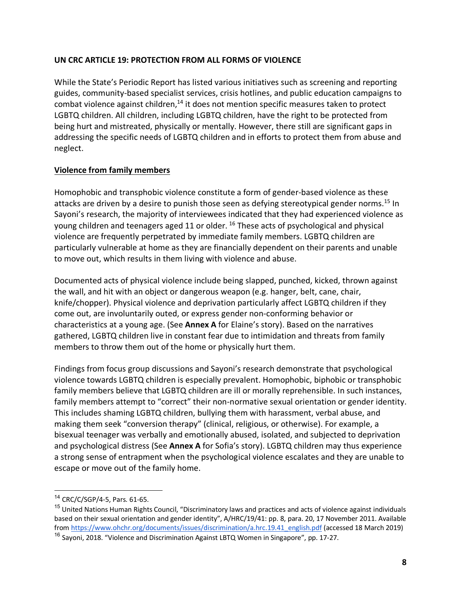#### **UN CRC ARTICLE 19: PROTECTION FROM ALL FORMS OF VIOLENCE**

While the State's Periodic Report has listed various initiatives such as screening and reporting guides, community-based specialist services, crisis hotlines, and public education campaigns to combat violence against children, $14$  it does not mention specific measures taken to protect LGBTQ children. All children, including LGBTQ children, have the right to be protected from being hurt and mistreated, physically or mentally. However, there still are significant gaps in addressing the specific needs of LGBTQ children and in efforts to protect them from abuse and neglect.

# **Violence from family members**

Homophobic and transphobic violence constitute a form of gender-based violence as these attacks are driven by a desire to punish those seen as defying stereotypical gender norms.15 In Sayoni's research, the majority of interviewees indicated that they had experienced violence as young children and teenagers aged 11 or older. <sup>16</sup> These acts of psychological and physical violence are frequently perpetrated by immediate family members. LGBTQ children are particularly vulnerable at home as they are financially dependent on their parents and unable to move out, which results in them living with violence and abuse.

Documented acts of physical violence include being slapped, punched, kicked, thrown against the wall, and hit with an object or dangerous weapon (e.g. hanger, belt, cane, chair, knife/chopper). Physical violence and deprivation particularly affect LGBTQ children if they come out, are involuntarily outed, or express gender non-conforming behavior or characteristics at a young age. (See **Annex A** for Elaine's story). Based on the narratives gathered, LGBTQ children live in constant fear due to intimidation and threats from family members to throw them out of the home or physically hurt them.

Findings from focus group discussions and Sayoni's research demonstrate that psychological violence towards LGBTQ children is especially prevalent. Homophobic, biphobic or transphobic family members believe that LGBTQ children are ill or morally reprehensible. In such instances, family members attempt to "correct" their non-normative sexual orientation or gender identity. This includes shaming LGBTQ children, bullying them with harassment, verbal abuse, and making them seek "conversion therapy" (clinical, religious, or otherwise). For example, a bisexual teenager was verbally and emotionally abused, isolated, and subjected to deprivation and psychological distress (See **Annex A** for Sofia's story). LGBTQ children may thus experience a strong sense of entrapment when the psychological violence escalates and they are unable to escape or move out of the family home.

<sup>&</sup>lt;sup>14</sup> CRC/C/SGP/4-5, Pars. 61-65.

<sup>&</sup>lt;sup>15</sup> United Nations Human Rights Council, "Discriminatory laws and practices and acts of violence against individuals based on their sexual orientation and gender identity", A/HRC/19/41: pp. 8, para. 20, 17 November 2011. Available from https://www.ohchr.org/documents/issues/discrimination/a.hrc.19.41\_english.pdf (accessed 18 March 2019)

<sup>&</sup>lt;sup>16</sup> Sayoni, 2018. "Violence and Discrimination Against LBTQ Women in Singapore", pp. 17-27.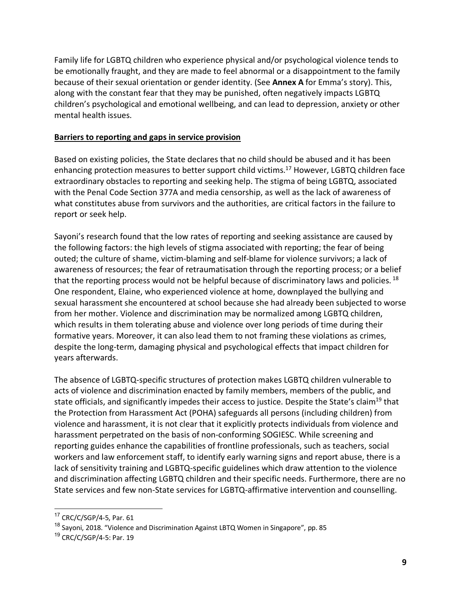Family life for LGBTQ children who experience physical and/or psychological violence tends to be emotionally fraught, and they are made to feel abnormal or a disappointment to the family because of their sexual orientation or gender identity. (See **Annex A** for Emma's story). This, along with the constant fear that they may be punished, often negatively impacts LGBTQ children's psychological and emotional wellbeing, and can lead to depression, anxiety or other mental health issues.

#### **Barriers to reporting and gaps in service provision**

Based on existing policies, the State declares that no child should be abused and it has been enhancing protection measures to better support child victims.<sup>17</sup> However, LGBTQ children face extraordinary obstacles to reporting and seeking help. The stigma of being LGBTQ, associated with the Penal Code Section 377A and media censorship, as well as the lack of awareness of what constitutes abuse from survivors and the authorities, are critical factors in the failure to report or seek help.

Sayoni's research found that the low rates of reporting and seeking assistance are caused by the following factors: the high levels of stigma associated with reporting; the fear of being outed; the culture of shame, victim-blaming and self-blame for violence survivors; a lack of awareness of resources; the fear of retraumatisation through the reporting process; or a belief that the reporting process would not be helpful because of discriminatory laws and policies.  $^{18}$ One respondent, Elaine, who experienced violence at home, downplayed the bullying and sexual harassment she encountered at school because she had already been subjected to worse from her mother. Violence and discrimination may be normalized among LGBTQ children, which results in them tolerating abuse and violence over long periods of time during their formative years. Moreover, it can also lead them to not framing these violations as crimes, despite the long-term, damaging physical and psychological effects that impact children for years afterwards.

The absence of LGBTQ-specific structures of protection makes LGBTQ children vulnerable to acts of violence and discrimination enacted by family members, members of the public, and state officials, and significantly impedes their access to justice. Despite the State's claim<sup>19</sup> that the Protection from Harassment Act (POHA) safeguards all persons (including children) from violence and harassment, it is not clear that it explicitly protects individuals from violence and harassment perpetrated on the basis of non-conforming SOGIESC. While screening and reporting guides enhance the capabilities of frontline professionals, such as teachers, social workers and law enforcement staff, to identify early warning signs and report abuse, there is a lack of sensitivity training and LGBTQ-specific guidelines which draw attention to the violence and discrimination affecting LGBTQ children and their specific needs. Furthermore, there are no State services and few non-State services for LGBTQ-affirmative intervention and counselling.

 <sup>17</sup> CRC/C/SGP/4-5, Par. 61

<sup>&</sup>lt;sup>18</sup> Sayoni, 2018. "Violence and Discrimination Against LBTQ Women in Singapore", pp. 85

<sup>&</sup>lt;sup>19</sup> CRC/C/SGP/4-5: Par. 19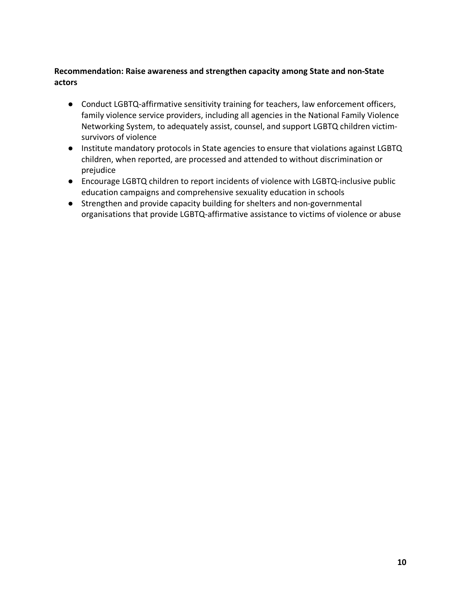# **Recommendation: Raise awareness and strengthen capacity among State and non-State actors**

- Conduct LGBTQ-affirmative sensitivity training for teachers, law enforcement officers, family violence service providers, including all agencies in the National Family Violence Networking System, to adequately assist, counsel, and support LGBTQ children victimsurvivors of violence
- Institute mandatory protocols in State agencies to ensure that violations against LGBTQ children, when reported, are processed and attended to without discrimination or prejudice
- Encourage LGBTQ children to report incidents of violence with LGBTQ-inclusive public education campaigns and comprehensive sexuality education in schools
- Strengthen and provide capacity building for shelters and non-governmental organisations that provide LGBTQ-affirmative assistance to victims of violence or abuse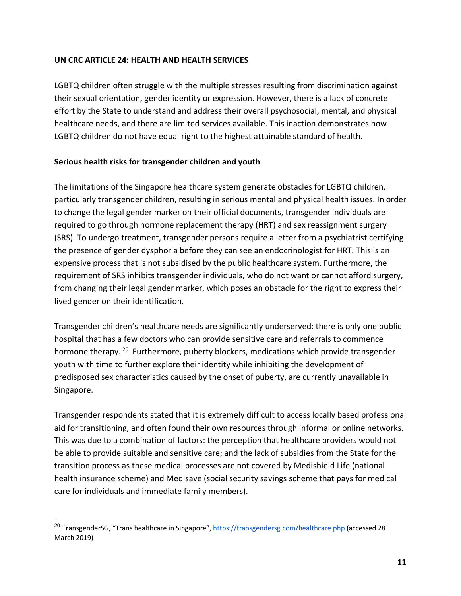#### **UN CRC ARTICLE 24: HEALTH AND HEALTH SERVICES**

LGBTQ children often struggle with the multiple stresses resulting from discrimination against their sexual orientation, gender identity or expression. However, there is a lack of concrete effort by the State to understand and address their overall psychosocial, mental, and physical healthcare needs, and there are limited services available. This inaction demonstrates how LGBTQ children do not have equal right to the highest attainable standard of health.

#### **Serious health risks for transgender children and youth**

The limitations of the Singapore healthcare system generate obstacles for LGBTQ children, particularly transgender children, resulting in serious mental and physical health issues. In order to change the legal gender marker on their official documents, transgender individuals are required to go through hormone replacement therapy (HRT) and sex reassignment surgery (SRS). To undergo treatment, transgender persons require a letter from a psychiatrist certifying the presence of gender dysphoria before they can see an endocrinologist for HRT. This is an expensive process that is not subsidised by the public healthcare system. Furthermore, the requirement of SRS inhibits transgender individuals, who do not want or cannot afford surgery, from changing their legal gender marker, which poses an obstacle for the right to express their lived gender on their identification.

Transgender children's healthcare needs are significantly underserved: there is only one public hospital that has a few doctors who can provide sensitive care and referrals to commence hormone therapy. <sup>20</sup> Furthermore, puberty blockers, medications which provide transgender youth with time to further explore their identity while inhibiting the development of predisposed sex characteristics caused by the onset of puberty, are currently unavailable in Singapore.

Transgender respondents stated that it is extremely difficult to access locally based professional aid for transitioning, and often found their own resources through informal or online networks. This was due to a combination of factors: the perception that healthcare providers would not be able to provide suitable and sensitive care; and the lack of subsidies from the State for the transition process as these medical processes are not covered by Medishield Life (national health insurance scheme) and Medisave (social security savings scheme that pays for medical care for individuals and immediate family members).

<sup>&</sup>lt;sup>20</sup> TransgenderSG, "Trans healthcare in Singapore", https://transgendersg.com/healthcare.php (accessed 28 March 2019)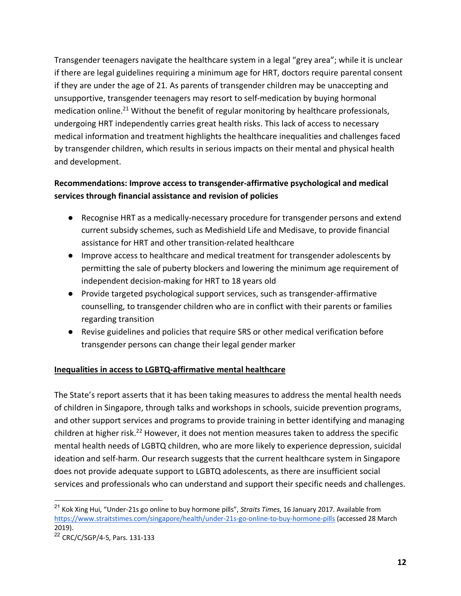Transgender teenagers navigate the healthcare system in a legal "grey area"; while it is unclear if there are legal guidelines requiring a minimum age for HRT, doctors require parental consent if they are under the age of 21. As parents of transgender children may be unaccepting and unsupportive, transgender teenagers may resort to self-medication by buying hormonal medication online.<sup>21</sup> Without the benefit of regular monitoring by healthcare professionals, undergoing HRT independently carries great health risks. This lack of access to necessary medical information and treatment highlights the healthcare inequalities and challenges faced by transgender children, which results in serious impacts on their mental and physical health and development.

# **Recommendations: Improve access to transgender-affirmative psychological and medical services through financial assistance and revision of policies**

- Recognise HRT as a medically-necessary procedure for transgender persons and extend current subsidy schemes, such as Medishield Life and Medisave, to provide financial assistance for HRT and other transition-related healthcare
- Improve access to healthcare and medical treatment for transgender adolescents by permitting the sale of puberty blockers and lowering the minimum age requirement of independent decision-making for HRT to 18 years old
- Provide targeted psychological support services, such as transgender-affirmative counselling, to transgender children who are in conflict with their parents or families regarding transition
- Revise guidelines and policies that require SRS or other medical verification before transgender persons can change their legal gender marker

# **Inequalities in access to LGBTQ-affirmative mental healthcare**

The State's report asserts that it has been taking measures to address the mental health needs of children in Singapore, through talks and workshops in schools, suicide prevention programs, and other support services and programs to provide training in better identifying and managing children at higher risk.<sup>22</sup> However, it does not mention measures taken to address the specific mental health needs of LGBTQ children, who are more likely to experience depression, suicidal ideation and self-harm. Our research suggests that the current healthcare system in Singapore does not provide adequate support to LGBTQ adolescents, as there are insufficient social services and professionals who can understand and support their specific needs and challenges.

 <sup>21</sup> Kok Xing Hui, "Under-21s go online to buy hormone pills", *Straits Times*, 16 January 2017. Available from https://www.straitstimes.com/singapore/health/under-21s-go-online-to-buy-hormone-pills (accessed 28 March 2019).

<sup>22</sup> CRC/C/SGP/4-5, Pars. 131-133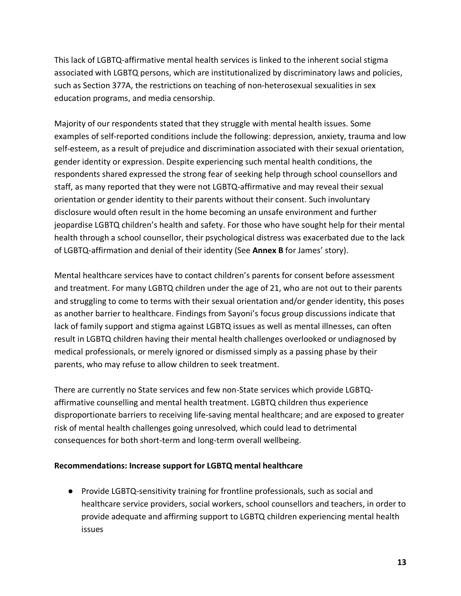This lack of LGBTQ-affirmative mental health services is linked to the inherent social stigma associated with LGBTQ persons, which are institutionalized by discriminatory laws and policies, such as Section 377A, the restrictions on teaching of non-heterosexual sexualities in sex education programs, and media censorship.

Majority of our respondents stated that they struggle with mental health issues. Some examples of self-reported conditions include the following: depression, anxiety, trauma and low self-esteem, as a result of prejudice and discrimination associated with their sexual orientation, gender identity or expression. Despite experiencing such mental health conditions, the respondents shared expressed the strong fear of seeking help through school counsellors and staff, as many reported that they were not LGBTQ-affirmative and may reveal their sexual orientation or gender identity to their parents without their consent. Such involuntary disclosure would often result in the home becoming an unsafe environment and further jeopardise LGBTQ children's health and safety. For those who have sought help for their mental health through a school counsellor, their psychological distress was exacerbated due to the lack of LGBTQ-affirmation and denial of their identity (See **Annex B** for James' story).

Mental healthcare services have to contact children's parents for consent before assessment and treatment. For many LGBTQ children under the age of 21, who are not out to their parents and struggling to come to terms with their sexual orientation and/or gender identity, this poses as another barrier to healthcare. Findings from Sayoni's focus group discussions indicate that lack of family support and stigma against LGBTQ issues as well as mental illnesses, can often result in LGBTQ children having their mental health challenges overlooked or undiagnosed by medical professionals, or merely ignored or dismissed simply as a passing phase by their parents, who may refuse to allow children to seek treatment.

There are currently no State services and few non-State services which provide LGBTQaffirmative counselling and mental health treatment. LGBTQ children thus experience disproportionate barriers to receiving life-saving mental healthcare; and are exposed to greater risk of mental health challenges going unresolved, which could lead to detrimental consequences for both short-term and long-term overall wellbeing.

# **Recommendations: Increase support for LGBTQ mental healthcare**

● Provide LGBTQ-sensitivity training for frontline professionals, such as social and healthcare service providers, social workers, school counsellors and teachers, in order to provide adequate and affirming support to LGBTQ children experiencing mental health issues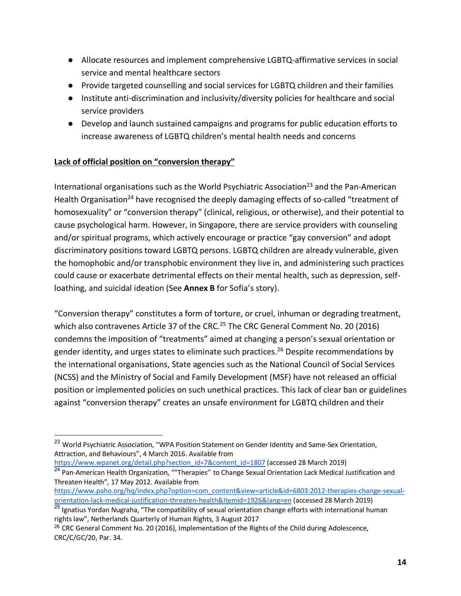- Allocate resources and implement comprehensive LGBTQ-affirmative services in social service and mental healthcare sectors
- Provide targeted counselling and social services for LGBTQ children and their families
- Institute anti-discrimination and inclusivity/diversity policies for healthcare and social service providers
- Develop and launch sustained campaigns and programs for public education efforts to increase awareness of LGBTQ children's mental health needs and concerns

# **Lack of official position on "conversion therapy"**

International organisations such as the World Psychiatric Association<sup>23</sup> and the Pan-American Health Organisation<sup>24</sup> have recognised the deeply damaging effects of so-called "treatment of homosexuality" or "conversion therapy" (clinical, religious, or otherwise), and their potential to cause psychological harm. However, in Singapore, there are service providers with counseling and/or spiritual programs, which actively encourage or practice "gay conversion" and adopt discriminatory positions toward LGBTQ persons. LGBTQ children are already vulnerable, given the homophobic and/or transphobic environment they live in, and administering such practices could cause or exacerbate detrimental effects on their mental health, such as depression, selfloathing, and suicidal ideation (See **Annex B** for Sofia's story).

"Conversion therapy" constitutes a form of torture, or cruel, inhuman or degrading treatment, which also contravenes Article 37 of the CRC.<sup>25</sup> The CRC General Comment No. 20 (2016) condemns the imposition of "treatments" aimed at changing a person's sexual orientation or gender identity, and urges states to eliminate such practices.<sup>26</sup> Despite recommendations by the international organisations, State agencies such as the National Council of Social Services (NCSS) and the Ministry of Social and Family Development (MSF) have not released an official position or implemented policies on such unethical practices. This lack of clear ban or guidelines against "conversion therapy" creates an unsafe environment for LGBTQ children and their

<sup>&</sup>lt;sup>23</sup> World Psychiatric Association, "WPA Position Statement on Gender Identity and Same-Sex Orientation, Attraction, and Behaviours", 4 March 2016. Available from

https://www.wpanet.org/detail.php?section\_id=7&content\_id=1807 (accessed 28 March 2019)

<sup>&</sup>lt;sup>24</sup> Pan-American Health Organization, ""Therapies" to Change Sexual Orientation Lack Medical Justification and Threaten Health", 17 May 2012. Available from

https://www.paho.org/hq/index.php?option=com\_content&view=article&id=6803:2012-therapies-change-sexualorientation-lack-medical-justification-threaten-health&Itemid=1926&lang=en (accessed 28 March 2019)

<sup>&</sup>lt;sup>25</sup> Ignatius Yordan Nugraha, "The compatibility of sexual orientation change efforts with international human rights law", Netherlands Quarterly of Human Rights, 3 August 2017

 $^{26}$  CRC General Comment No. 20 (2016), Implementation of the Rights of the Child during Adolescence, CRC/C/GC/20, Par. 34.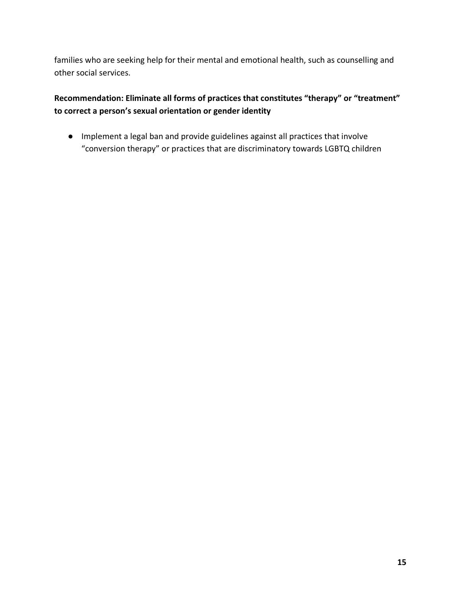families who are seeking help for their mental and emotional health, such as counselling and other social services.

# **Recommendation: Eliminate all forms of practices that constitutes "therapy" or "treatment" to correct a person's sexual orientation or gender identity**

● Implement a legal ban and provide guidelines against all practices that involve "conversion therapy" or practices that are discriminatory towards LGBTQ children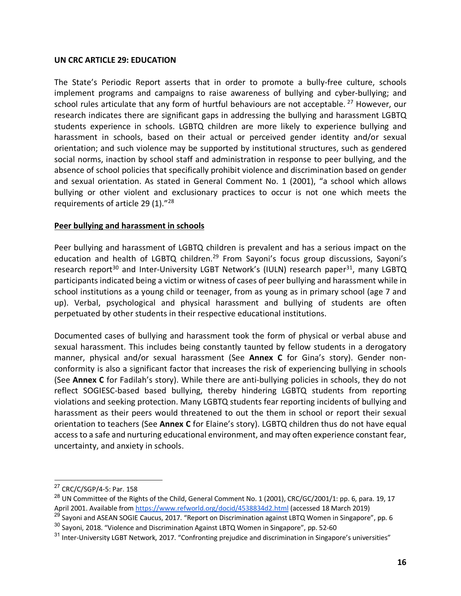#### **UN CRC ARTICLE 29: EDUCATION**

The State's Periodic Report asserts that in order to promote a bully-free culture, schools implement programs and campaigns to raise awareness of bullying and cyber-bullying; and school rules articulate that any form of hurtful behaviours are not acceptable.<sup>27</sup> However, our research indicates there are significant gaps in addressing the bullying and harassment LGBTQ students experience in schools. LGBTQ children are more likely to experience bullying and harassment in schools, based on their actual or perceived gender identity and/or sexual orientation; and such violence may be supported by institutional structures, such as gendered social norms, inaction by school staff and administration in response to peer bullying, and the absence of school policies that specifically prohibit violence and discrimination based on gender and sexual orientation. As stated in General Comment No. 1 (2001), "a school which allows bullying or other violent and exclusionary practices to occur is not one which meets the requirements of article 29 (1)."28

#### **Peer bullying and harassment in schools**

Peer bullying and harassment of LGBTQ children is prevalent and has a serious impact on the education and health of LGBTQ children.<sup>29</sup> From Sayoni's focus group discussions, Sayoni's research report<sup>30</sup> and Inter-University LGBT Network's (IULN) research paper<sup>31</sup>, many LGBTQ participants indicated being a victim or witness of cases of peer bullying and harassment while in school institutions as a young child or teenager, from as young as in primary school (age 7 and up). Verbal, psychological and physical harassment and bullying of students are often perpetuated by other students in their respective educational institutions.

Documented cases of bullying and harassment took the form of physical or verbal abuse and sexual harassment. This includes being constantly taunted by fellow students in a derogatory manner, physical and/or sexual harassment (See **Annex C** for Gina's story). Gender nonconformity is also a significant factor that increases the risk of experiencing bullying in schools (See **Annex C** for Fadilah's story). While there are anti-bullying policies in schools, they do not reflect SOGIESC-based based bullying, thereby hindering LGBTQ students from reporting violations and seeking protection. Many LGBTQ students fear reporting incidents of bullying and harassment as their peers would threatened to out the them in school or report their sexual orientation to teachers (See **Annex C** for Elaine's story). LGBTQ children thus do not have equal access to a safe and nurturing educational environment, and may often experience constant fear, uncertainty, and anxiety in schools.

 <sup>27</sup> CRC/C/SGP/4-5: Par. 158

<sup>&</sup>lt;sup>28</sup> UN Committee of the Rights of the Child, General Comment No. 1 (2001), CRC/GC/2001/1: pp. 6, para. 19, 17 April 2001. Available from https://www.refworld.org/docid/4538834d2.html (accessed 18 March 2019)

<sup>&</sup>lt;sup>29</sup> Sayoni and ASEAN SOGIE Caucus, 2017. "Report on Discrimination against LBTQ Women in Singapore", pp. 6

<sup>&</sup>lt;sup>30</sup> Sayoni, 2018. "Violence and Discrimination Against LBTQ Women in Singapore", pp. 52-60

<sup>&</sup>lt;sup>31</sup> Inter-University LGBT Network, 2017. "Confronting prejudice and discrimination in Singapore's universities"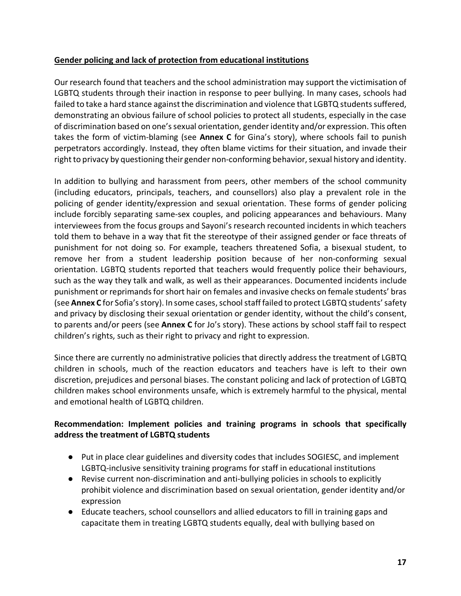# **Gender policing and lack of protection from educational institutions**

Our research found that teachers and the school administration may support the victimisation of LGBTQ students through their inaction in response to peer bullying. In many cases, schools had failed to take a hard stance against the discrimination and violence that LGBTQ students suffered, demonstrating an obvious failure of school policies to protect all students, especially in the case of discrimination based on one's sexual orientation, gender identity and/or expression. This often takes the form of victim-blaming (see **Annex C** for Gina's story), where schools fail to punish perpetrators accordingly. Instead, they often blame victims for their situation, and invade their right to privacy by questioning their gender non-conforming behavior, sexual history and identity.

In addition to bullying and harassment from peers, other members of the school community (including educators, principals, teachers, and counsellors) also play a prevalent role in the policing of gender identity/expression and sexual orientation. These forms of gender policing include forcibly separating same-sex couples, and policing appearances and behaviours. Many interviewees from the focus groups and Sayoni's research recounted incidents in which teachers told them to behave in a way that fit the stereotype of their assigned gender or face threats of punishment for not doing so. For example, teachers threatened Sofia, a bisexual student, to remove her from a student leadership position because of her non-conforming sexual orientation. LGBTQ students reported that teachers would frequently police their behaviours, such as the way they talk and walk, as well as their appearances. Documented incidents include punishment or reprimands for short hair on females and invasive checks on female students' bras (see **Annex C** for Sofia's story). In some cases, school staff failed to protect LGBTQ students' safety and privacy by disclosing their sexual orientation or gender identity, without the child's consent, to parents and/or peers (see **Annex C** for Jo's story). These actions by school staff fail to respect children's rights, such as their right to privacy and right to expression.

Since there are currently no administrative policies that directly address the treatment of LGBTQ children in schools, much of the reaction educators and teachers have is left to their own discretion, prejudices and personal biases. The constant policing and lack of protection of LGBTQ children makes school environments unsafe, which is extremely harmful to the physical, mental and emotional health of LGBTQ children.

# **Recommendation: Implement policies and training programs in schools that specifically address the treatment of LGBTQ students**

- Put in place clear guidelines and diversity codes that includes SOGIESC, and implement LGBTQ-inclusive sensitivity training programs for staff in educational institutions
- Revise current non-discrimination and anti-bullying policies in schools to explicitly prohibit violence and discrimination based on sexual orientation, gender identity and/or expression
- Educate teachers, school counsellors and allied educators to fill in training gaps and capacitate them in treating LGBTQ students equally, deal with bullying based on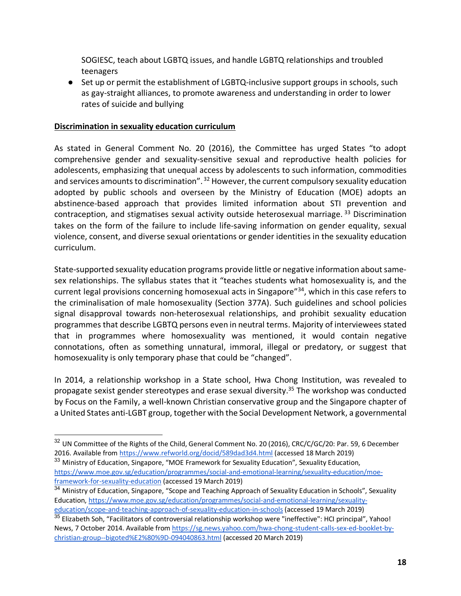SOGIESC, teach about LGBTQ issues, and handle LGBTQ relationships and troubled teenagers

● Set up or permit the establishment of LGBTQ-inclusive support groups in schools, such as gay-straight alliances, to promote awareness and understanding in order to lower rates of suicide and bullying

#### **Discrimination in sexuality education curriculum**

As stated in General Comment No. 20 (2016), the Committee has urged States "to adopt comprehensive gender and sexuality-sensitive sexual and reproductive health policies for adolescents, emphasizing that unequal access by adolescents to such information, commodities and services amounts to discrimination".<sup>32</sup> However, the current compulsory sexuality education adopted by public schools and overseen by the Ministry of Education (MOE) adopts an abstinence-based approach that provides limited information about STI prevention and contraception, and stigmatises sexual activity outside heterosexual marriage. <sup>33</sup> Discrimination takes on the form of the failure to include life-saving information on gender equality, sexual violence, consent, and diverse sexual orientations or gender identities in the sexuality education curriculum.

State-supported sexuality education programs provide little or negative information about samesex relationships. The syllabus states that it "teaches students what homosexuality is, and the current legal provisions concerning homosexual acts in Singapore"34, which in this case refers to the criminalisation of male homosexuality (Section 377A). Such guidelines and school policies signal disapproval towards non-heterosexual relationships, and prohibit sexuality education programmes that describe LGBTQ persons even in neutral terms. Majority of interviewees stated that in programmes where homosexuality was mentioned, it would contain negative connotations, often as something unnatural, immoral, illegal or predatory, or suggest that homosexuality is only temporary phase that could be "changed".

In 2014, a relationship workshop in a State school, Hwa Chong Institution, was revealed to propagate sexist gender stereotypes and erase sexual diversity.<sup>35</sup> The workshop was conducted by Focus on the Family, a well-known Christian conservative group and the Singapore chapter of a United States anti-LGBT group, together with the Social Development Network, a governmental

<sup>33</sup> Ministry of Education, Singapore, "MOE Framework for Sexuality Education", Sexuality Education, https://www.moe.gov.sg/education/programmes/social-and-emotional-learning/sexuality-education/moeframework-for-sexuality-education (accessed 19 March 2019)

<sup>&</sup>lt;sup>32</sup> UN Committee of the Rights of the Child, General Comment No. 20 (2016), CRC/C/GC/20: Par. 59, 6 December 2016. Available from https://www.refworld.org/docid/589dad3d4.html (accessed 18 March 2019)

<sup>&</sup>lt;sup>34</sup> Ministry of Education, Singapore, "Scope and Teaching Approach of Sexuality Education in Schools", Sexuality Education, https://www.moe.gov.sg/education/programmes/social-and-emotional-learning/sexualityeducation/scope-and-teaching-approach-of-sexuality-education-in-schools (accessed 19 March 2019)

 $\frac{35}{35}$  Elizabeth Soh, "Facilitators of controversial relationship workshop were "ineffective": HCI principal", Yahoo! News, 7 October 2014. Available from https://sg.news.yahoo.com/hwa-chong-student-calls-sex-ed-booklet-bychristian-group--bigoted%E2%80%9D-094040863.html (accessed 20 March 2019)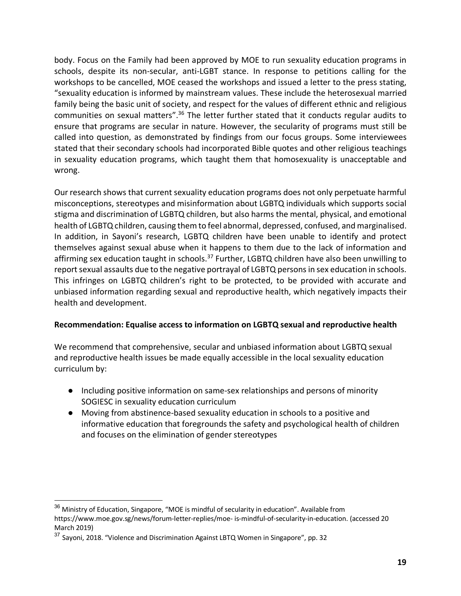body. Focus on the Family had been approved by MOE to run sexuality education programs in schools, despite its non-secular, anti-LGBT stance. In response to petitions calling for the workshops to be cancelled, MOE ceased the workshops and issued a letter to the press stating, "sexuality education is informed by mainstream values. These include the heterosexual married family being the basic unit of society, and respect for the values of different ethnic and religious communities on sexual matters".36 The letter further stated that it conducts regular audits to ensure that programs are secular in nature. However, the secularity of programs must still be called into question, as demonstrated by findings from our focus groups. Some interviewees stated that their secondary schools had incorporated Bible quotes and other religious teachings in sexuality education programs, which taught them that homosexuality is unacceptable and wrong.

Our research shows that current sexuality education programs does not only perpetuate harmful misconceptions, stereotypes and misinformation about LGBTQ individuals which supports social stigma and discrimination of LGBTQ children, but also harms the mental, physical, and emotional health of LGBTQ children, causing them to feel abnormal, depressed, confused, and marginalised. In addition, in Sayoni's research, LGBTQ children have been unable to identify and protect themselves against sexual abuse when it happens to them due to the lack of information and affirming sex education taught in schools.<sup>37</sup> Further, LGBTQ children have also been unwilling to report sexual assaults due to the negative portrayal of LGBTQ persons in sex education in schools. This infringes on LGBTQ children's right to be protected, to be provided with accurate and unbiased information regarding sexual and reproductive health, which negatively impacts their health and development.

# **Recommendation: Equalise access to information on LGBTQ sexual and reproductive health**

We recommend that comprehensive, secular and unbiased information about LGBTQ sexual and reproductive health issues be made equally accessible in the local sexuality education curriculum by:

- Including positive information on same-sex relationships and persons of minority SOGIESC in sexuality education curriculum
- Moving from abstinence-based sexuality education in schools to a positive and informative education that foregrounds the safety and psychological health of children and focuses on the elimination of gender stereotypes

<sup>&</sup>lt;sup>36</sup> Ministry of Education, Singapore, "MOE is mindful of secularity in education". Available from https://www.moe.gov.sg/news/forum-letter-replies/moe- is-mindful-of-secularity-in-education. (accessed 20 March 2019)

<sup>&</sup>lt;sup>37</sup> Sayoni, 2018. "Violence and Discrimination Against LBTQ Women in Singapore", pp. 32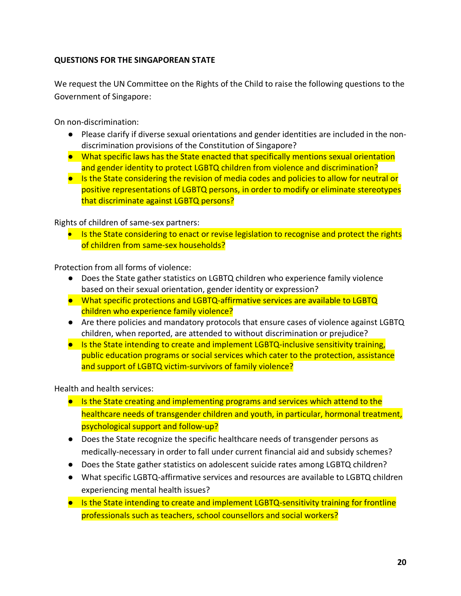# **QUESTIONS FOR THE SINGAPOREAN STATE**

We request the UN Committee on the Rights of the Child to raise the following questions to the Government of Singapore:

On non-discrimination:

- Please clarify if diverse sexual orientations and gender identities are included in the nondiscrimination provisions of the Constitution of Singapore?
- What specific laws has the State enacted that specifically mentions sexual orientation and gender identity to protect LGBTQ children from violence and discrimination?
- Is the State considering the revision of media codes and policies to allow for neutral or positive representations of LGBTQ persons, in order to modify or eliminate stereotypes that discriminate against LGBTQ persons?

Rights of children of same-sex partners:

• Is the State considering to enact or revise legislation to recognise and protect the rights of children from same-sex households?

Protection from all forms of violence:

- Does the State gather statistics on LGBTQ children who experience family violence based on their sexual orientation, gender identity or expression?
- What specific protections and LGBTQ-affirmative services are available to LGBTQ children who experience family violence?
- Are there policies and mandatory protocols that ensure cases of violence against LGBTQ children, when reported, are attended to without discrimination or prejudice?
- Is the State intending to create and implement LGBTQ-inclusive sensitivity training. public education programs or social services which cater to the protection, assistance and support of LGBTQ victim-survivors of family violence?

Health and health services:

- Is the State creating and implementing programs and services which attend to the healthcare needs of transgender children and youth, in particular, hormonal treatment, psychological support and follow-up?
- Does the State recognize the specific healthcare needs of transgender persons as medically-necessary in order to fall under current financial aid and subsidy schemes?
- Does the State gather statistics on adolescent suicide rates among LGBTQ children?
- What specific LGBTQ-affirmative services and resources are available to LGBTQ children experiencing mental health issues?
- Is the State intending to create and implement LGBTQ-sensitivity training for frontline professionals such as teachers, school counsellors and social workers?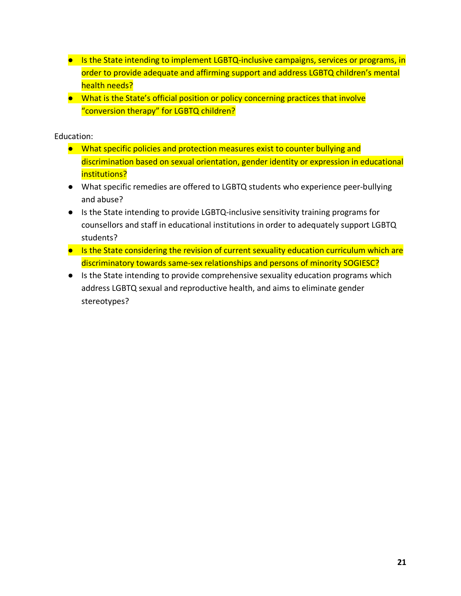- Is the State intending to implement LGBTQ-inclusive campaigns, services or programs, in order to provide adequate and affirming support and address LGBTQ children's mental health needs?
- What is the State's official position or policy concerning practices that involve "conversion therapy" for LGBTQ children?

Education:

- What specific policies and protection measures exist to counter bullying and discrimination based on sexual orientation, gender identity or expression in educational institutions?
- What specific remedies are offered to LGBTQ students who experience peer-bullying and abuse?
- Is the State intending to provide LGBTQ-inclusive sensitivity training programs for counsellors and staff in educational institutions in order to adequately support LGBTQ students?
- Is the State considering the revision of current sexuality education curriculum which are discriminatory towards same-sex relationships and persons of minority SOGIESC?
- Is the State intending to provide comprehensive sexuality education programs which address LGBTQ sexual and reproductive health, and aims to eliminate gender stereotypes?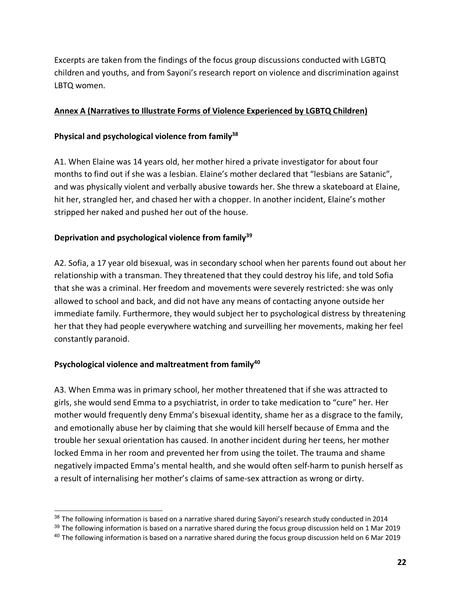Excerpts are taken from the findings of the focus group discussions conducted with LGBTQ children and youths, and from Sayoni's research report on violence and discrimination against LBTQ women.

# **Annex A (Narratives to Illustrate Forms of Violence Experienced by LGBTQ Children)**

# **Physical and psychological violence from family38**

A1. When Elaine was 14 years old, her mother hired a private investigator for about four months to find out if she was a lesbian. Elaine's mother declared that "lesbians are Satanic", and was physically violent and verbally abusive towards her. She threw a skateboard at Elaine, hit her, strangled her, and chased her with a chopper. In another incident, Elaine's mother stripped her naked and pushed her out of the house.

# **Deprivation and psychological violence from family39**

A2. Sofia, a 17 year old bisexual, was in secondary school when her parents found out about her relationship with a transman. They threatened that they could destroy his life, and told Sofia that she was a criminal. Her freedom and movements were severely restricted: she was only allowed to school and back, and did not have any means of contacting anyone outside her immediate family. Furthermore, they would subject her to psychological distress by threatening her that they had people everywhere watching and surveilling her movements, making her feel constantly paranoid.

# Psychological violence and maltreatment from family<sup>40</sup>

A3. When Emma was in primary school, her mother threatened that if she was attracted to girls, she would send Emma to a psychiatrist, in order to take medication to "cure" her. Her mother would frequently deny Emma's bisexual identity, shame her as a disgrace to the family, and emotionally abuse her by claiming that she would kill herself because of Emma and the trouble her sexual orientation has caused. In another incident during her teens, her mother locked Emma in her room and prevented her from using the toilet. The trauma and shame negatively impacted Emma's mental health, and she would often self-harm to punish herself as a result of internalising her mother's claims of same-sex attraction as wrong or dirty.

<sup>&</sup>lt;sup>38</sup> The following information is based on a narrative shared during Sayoni's research study conducted in 2014

 $39$  The following information is based on a narrative shared during the focus group discussion held on 1 Mar 2019

<sup>&</sup>lt;sup>40</sup> The following information is based on a narrative shared during the focus group discussion held on 6 Mar 2019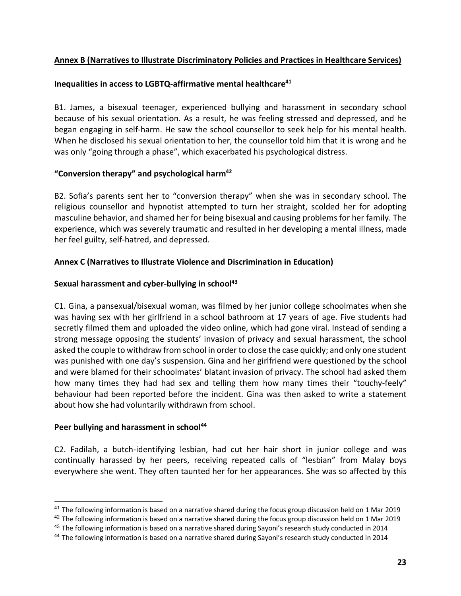# **Annex B (Narratives to Illustrate Discriminatory Policies and Practices in Healthcare Services)**

#### **Inequalities in access to LGBTQ-affirmative mental healthcare41**

B1. James, a bisexual teenager, experienced bullying and harassment in secondary school because of his sexual orientation. As a result, he was feeling stressed and depressed, and he began engaging in self-harm. He saw the school counsellor to seek help for his mental health. When he disclosed his sexual orientation to her, the counsellor told him that it is wrong and he was only "going through a phase", which exacerbated his psychological distress.

#### **"Conversion therapy" and psychological harm42**

B2. Sofia's parents sent her to "conversion therapy" when she was in secondary school. The religious counsellor and hypnotist attempted to turn her straight, scolded her for adopting masculine behavior, and shamed her for being bisexual and causing problems for her family. The experience, which was severely traumatic and resulted in her developing a mental illness, made her feel guilty, self-hatred, and depressed.

#### **Annex C (Narratives to Illustrate Violence and Discrimination in Education)**

#### Sexual harassment and cyber-bullying in school<sup>43</sup>

C1. Gina, a pansexual/bisexual woman, was filmed by her junior college schoolmates when she was having sex with her girlfriend in a school bathroom at 17 years of age. Five students had secretly filmed them and uploaded the video online, which had gone viral. Instead of sending a strong message opposing the students' invasion of privacy and sexual harassment, the school asked the couple to withdraw from school in order to close the case quickly; and only one student was punished with one day's suspension. Gina and her girlfriend were questioned by the school and were blamed for their schoolmates' blatant invasion of privacy. The school had asked them how many times they had had sex and telling them how many times their "touchy-feely" behaviour had been reported before the incident. Gina was then asked to write a statement about how she had voluntarily withdrawn from school.

#### Peer bullying and harassment in school<sup>44</sup>

C2. Fadilah, a butch-identifying lesbian, had cut her hair short in junior college and was continually harassed by her peers, receiving repeated calls of "lesbian" from Malay boys everywhere she went. They often taunted her for her appearances. She was so affected by this

 $41$  The following information is based on a narrative shared during the focus group discussion held on 1 Mar 2019

 $42$  The following information is based on a narrative shared during the focus group discussion held on 1 Mar 2019

<sup>&</sup>lt;sup>43</sup> The following information is based on a narrative shared during Sayoni's research study conducted in 2014

<sup>&</sup>lt;sup>44</sup> The following information is based on a narrative shared during Sayoni's research study conducted in 2014